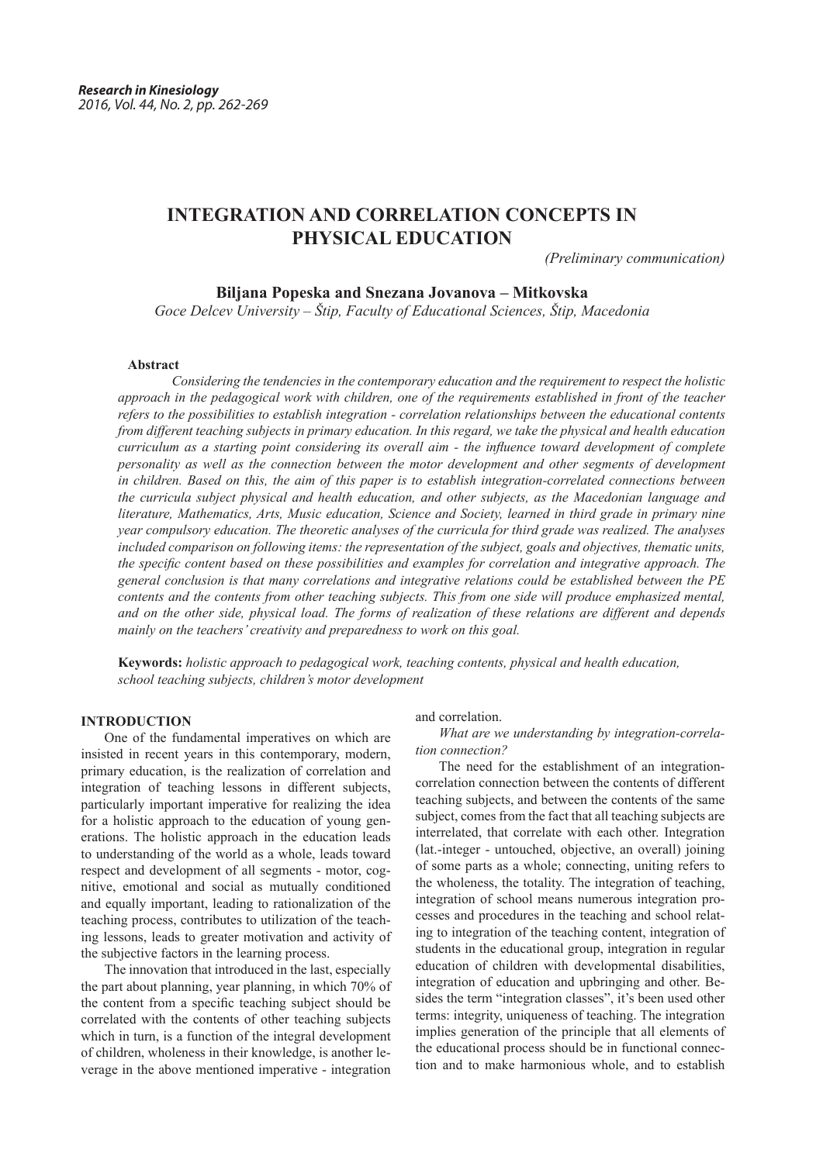# **INTEGRATION AND CORRELATION CONCEPTS IN PHYSICAL EDUCATION**

*(Preliminary communication)*

# **Biljana Popeska and Snezana Jovanova – Mitkovska**

*Goce Delcev University – Štip, Faculty of Educational Sciences, Štip, Macedonia*

#### **Abstract**

 *Considering the tendencies in the contemporary education and the requirement to respect the holistic approach in the pedagogical work with children, one of the requirements established in front of the teacher refers to the possibilities to establish integration - correlation relationships between the educational contents from different teaching subjects in primary education. In this regard, we take the physical and health education curriculum as a starting point considering its overall aim - the influence toward development of complete personality as well as the connection between the motor development and other segments of development in children. Based on this, the aim of this paper is to establish integration-correlated connections between the curricula subject physical and health education, and other subjects, as the Macedonian language and literature, Mathematics, Arts, Music education, Science and Society, learned in third grade in primary nine year compulsory education. The theoretic analyses of the curricula for third grade was realized. The analyses included comparison on following items: the representation of the subject, goals and objectives, thematic units, the specific content based on these possibilities and examples for correlation and integrative approach. The general conclusion is that many correlations and integrative relations could be established between the PE contents and the contents from other teaching subjects. This from one side will produce emphasized mental, and on the other side, physical load. The forms of realization of these relations are different and depends mainly on the teachers' creativity and preparedness to work on this goal.* 

**Keywords:** *holistic approach to pedagogical work, teaching contents, physical and health education, school teaching subjects, children's motor development*

# **INTRODUCTION**

One of the fundamental imperatives on which are insisted in recent years in this contemporary, modern, primary education, is the realization of correlation and integration of teaching lessons in different subjects, particularly important imperative for realizing the idea for a holistic approach to the education of young generations. The holistic approach in the education leads to understanding of the world as a whole, leads toward respect and development of all segments - motor, cognitive, emotional and social as mutually conditioned and equally important, leading to rationalization of the teaching process, contributes to utilization of the teaching lessons, leads to greater motivation and activity of the subjective factors in the learning process.

The innovation that introduced in the last, especially the part about planning, year planning, in which 70% of the content from a specific teaching subject should be correlated with the contents of other teaching subjects which in turn, is a function of the integral development of children, wholeness in their knowledge, is another leverage in the above mentioned imperative - integration

#### and correlation.

*What are we understanding by integration-correlation connection?*

The need for the establishment of an integrationcorrelation connection between the contents of different teaching subjects, and between the contents of the same subject, comes from the fact that all teaching subjects are interrelated, that correlate with each other. Integration (lat.-integer - untouched, objective, an overall) joining of some parts as a whole; connecting, uniting refers to the wholeness, the totality. The integration of teaching, integration of school means numerous integration processes and procedures in the teaching and school relating to integration of the teaching content, integration of students in the educational group, integration in regular education of children with developmental disabilities, integration of education and upbringing and other. Besides the term "integration classes", it's been used other terms: integrity, uniqueness of teaching. The integration implies generation of the principle that all elements of the educational process should be in functional connection and to make harmonious whole, and to establish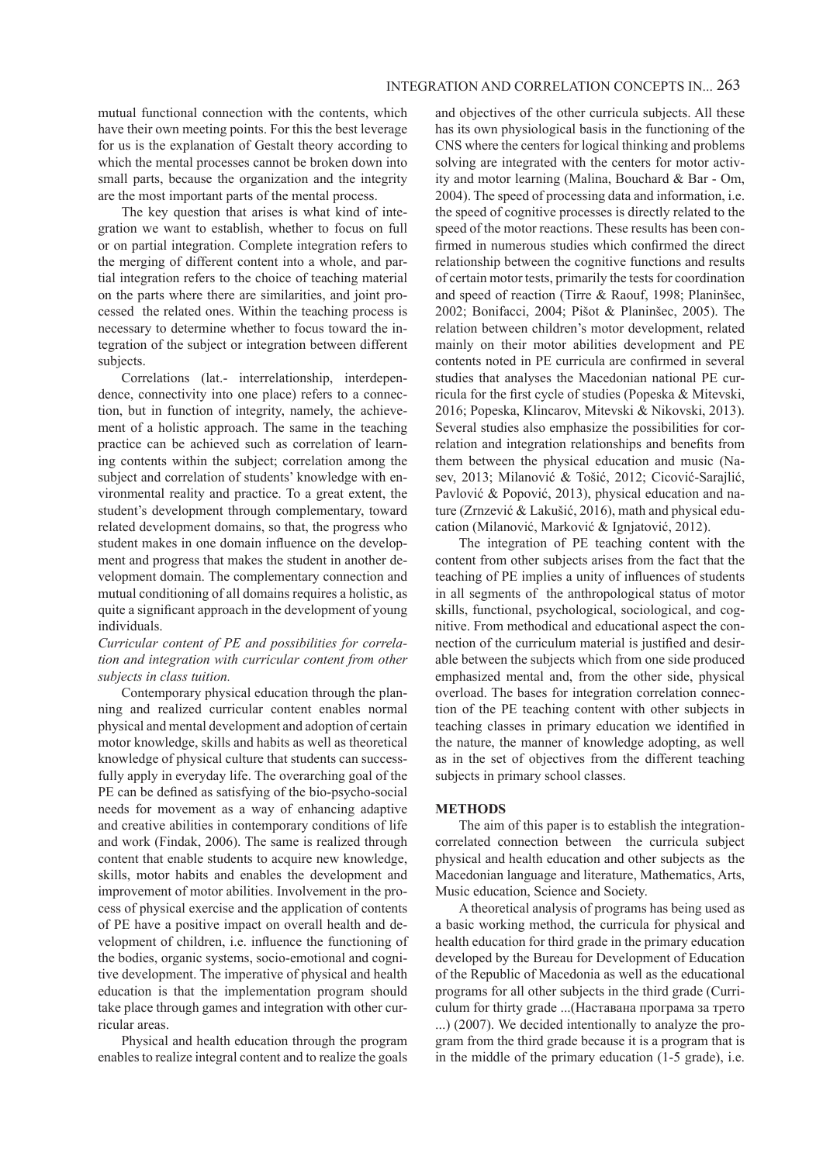mutual functional connection with the contents, which have their own meeting points. For this the best leverage for us is the explanation of Gestalt theory according to which the mental processes cannot be broken down into small parts, because the organization and the integrity are the most important parts of the mental process.

The key question that arises is what kind of integration we want to establish, whether to focus on full or on partial integration. Complete integration refers to the merging of different content into a whole, and partial integration refers to the choice of teaching material on the parts where there are similarities, and joint processed the related ones. Within the teaching process is necessary to determine whether to focus toward the integration of the subject or integration between different subjects.

Correlations (lat.- interrelationship, interdependence, connectivity into one place) refers to a connection, but in function of integrity, namely, the achievement of a holistic approach. The same in the teaching practice can be achieved such as correlation of learning contents within the subject; correlation among the subject and correlation of students' knowledge with environmental reality and practice. To a great extent, the student's development through complementary, toward related development domains, so that, the progress who student makes in one domain influence on the development and progress that makes the student in another development domain. The complementary connection and mutual conditioning of all domains requires a holistic, as quite a significant approach in the development of young individuals.

## *Curricular content of PE and possibilities for correlation and integration with curricular content from other subjects in class tuition.*

Contemporary physical education through the planning and realized curricular content enables normal physical and mental development and adoption of certain motor knowledge, skills and habits as well as theoretical knowledge of physical culture that students can successfully apply in everyday life. The overarching goal of the PE can be defined as satisfying of the bio-psycho-social needs for movement as a way of enhancing adaptive and creative abilities in contemporary conditions of life and work (Findak, 2006). The same is realized through content that enable students to acquire new knowledge, skills, motor habits and enables the development and improvement of motor abilities. Involvement in the process of physical exercise and the application of contents of PE have a positive impact on overall health and development of children, i.e. influence the functioning of the bodies, organic systems, socio-emotional and cognitive development. The imperative of physical and health education is that the implementation program should take place through games and integration with other curricular areas.

Physical and health education through the program enables to realize integral content and to realize the goals

and objectives of the other curricula subjects. All these has its own physiological basis in the functioning of the CNS where the centers for logical thinking and problems solving are integrated with the centers for motor activity and motor learning (Malina, Bouchard & Bar - Om, 2004). The speed of processing data and information, i.e. the speed of cognitive processes is directly related to the speed of the motor reactions. These results has been confirmed in numerous studies which confirmed the direct relationship between the cognitive functions and results of certain motor tests, primarily the tests for coordination and speed of reaction (Tirre & Raouf, 1998; Planinšec, 2002; Bonifacci, 2004; Pišot & Planinšec, 2005). The relation between children's motor development, related mainly on their motor abilities development and PE contents noted in PE curricula are confirmed in several studies that analyses the Macedonian national PE curricula for the first cycle of studies (Popeska & Mitevski, 2016; Popeska, Klincarov, Mitevski & Nikovski, 2013). Several studies also emphasize the possibilities for correlation and integration relationships and benefits from them between the physical education and music (Nasev, 2013; Milanović & Tošić, 2012; Cicović-Sarajlić, Pavlović & Popović, 2013), physical education and nature (Zrnzević & Lakušić, 2016), math and physical education (Milanović, Marković & Ignjatović, 2012).

The integration of PE teaching content with the content from other subjects arises from the fact that the teaching of PE implies a unity of influences of students in all segments of the anthropological status of motor skills, functional, psychological, sociological, and cognitive. From methodical and educational aspect the connection of the curriculum material is justified and desirable between the subjects which from one side produced emphasized mental and, from the other side, physical overload. The bases for integration correlation connection of the PE teaching content with other subjects in teaching classes in primary education we identified in the nature, the manner of knowledge adopting, as well as in the set of objectives from the different teaching subjects in primary school classes.

#### **METHODS**

The aim of this paper is to establish the integrationcorrelated connection between the curricula subject physical and health education and other subjects as the Macedonian language and literature, Mathematics, Arts, Music education, Science and Society.

A theoretical analysis of programs has being used as a basic working method, the curricula for physical and health education for third grade in the primary education developed by the Bureau for Development of Education of the Republic of Macedonia as well as the educational programs for all other subjects in the third grade (Curriculum for thirty grade ...(Наставана програма за трето ...) (2007). We decided intentionally to analyze the program from the third grade because it is a program that is in the middle of the primary education (1-5 grade), i.e.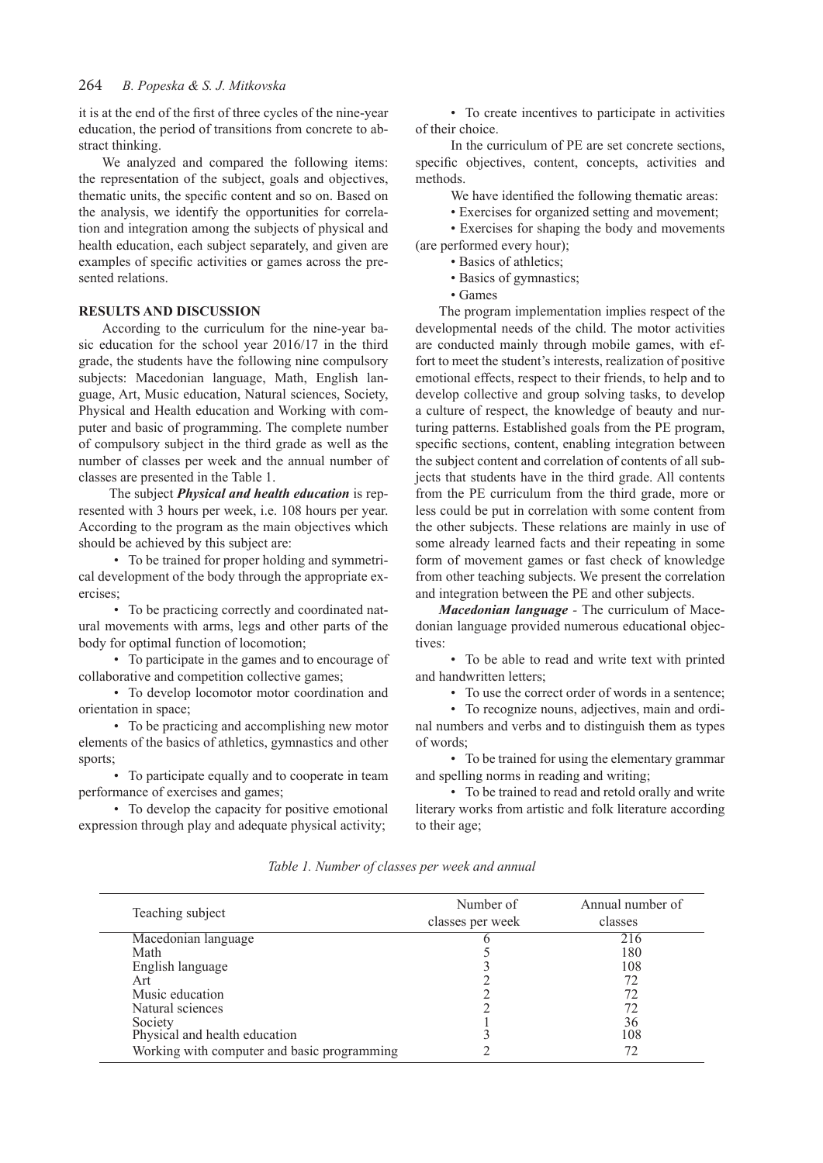#### 264  *B. Popeska & S. J. Mitkovska*

it is at the end of the first of three cycles of the nine-year education, the period of transitions from concrete to abstract thinking.

We analyzed and compared the following items: the representation of the subject, goals and objectives, thematic units, the specific content and so on. Based on the analysis, we identify the opportunities for correlation and integration among the subjects of physical and health education, each subject separately, and given are examples of specific activities or games across the presented relations.

### **RESULTS AND DISCUSSION**

According to the curriculum for the nine-year basic education for the school year 2016/17 in the third grade, the students have the following nine compulsory subjects: Macedonian language, Math, English language, Art, Music education, Natural sciences, Society, Physical and Health education and Working with computer and basic of programming. The complete number of compulsory subject in the third grade as well as the number of classes per week and the annual number of classes are presented in the Table 1.

The subject *Physical and health education* is represented with 3 hours per week, i.e. 108 hours per year. According to the program as the main objectives which should be achieved by this subject are:

• To be trained for proper holding and symmetrical development of the body through the appropriate exercises;

• To be practicing correctly and coordinated natural movements with arms, legs and other parts of the body for optimal function of locomotion;

• To participate in the games and to encourage of collaborative and competition collective games;

• To develop locomotor motor coordination and orientation in space;

• To be practicing and accomplishing new motor elements of the basics of athletics, gymnastics and other sports;

• To participate equally and to cooperate in team performance of exercises and games;

• To develop the capacity for positive emotional expression through play and adequate physical activity;

• To create incentives to participate in activities of their choice.

In the curriculum of PE are set concrete sections, specific objectives, content, concepts, activities and methods.

We have identified the following thematic areas:

• Exercises for organized setting and movement;

• Exercises for shaping the body and movements (are performed every hour);

• Basics of athletics;

• Basics of gymnastics;

• Games

The program implementation implies respect of the developmental needs of the child. The motor activities are conducted mainly through mobile games, with effort to meet the student's interests, realization of positive emotional effects, respect to their friends, to help and to develop collective and group solving tasks, to develop a culture of respect, the knowledge of beauty and nurturing patterns. Established goals from the PE program, specific sections, content, enabling integration between the subject content and correlation of contents of all subjects that students have in the third grade. All contents from the PE curriculum from the third grade, more or less could be put in correlation with some content from the other subjects. These relations are mainly in use of some already learned facts and their repeating in some form of movement games or fast check of knowledge from other teaching subjects. We present the correlation and integration between the PE and other subjects.

*Macedonian language -* The curriculum of Macedonian language provided numerous educational objectives:

• To be able to read and write text with printed and handwritten letters;

• To use the correct order of words in a sentence;

• To recognize nouns, adjectives, main and ordinal numbers and verbs and to distinguish them as types of words;

• To be trained for using the elementary grammar and spelling norms in reading and writing;

• To be trained to read and retold orally and write literary works from artistic and folk literature according to their age;

*Table 1. Number of classes per week and annual*

| Teaching subject                            | Number of<br>classes per week | Annual number of<br>classes |
|---------------------------------------------|-------------------------------|-----------------------------|
| Macedonian language                         |                               | 216                         |
| Math                                        |                               | 180                         |
| English language                            |                               | 108                         |
| Art                                         |                               | 72                          |
| Music education                             |                               |                             |
| Natural sciences                            |                               | 72                          |
| Society                                     |                               | 36                          |
| Physical and health education               |                               | 108                         |
| Working with computer and basic programming |                               |                             |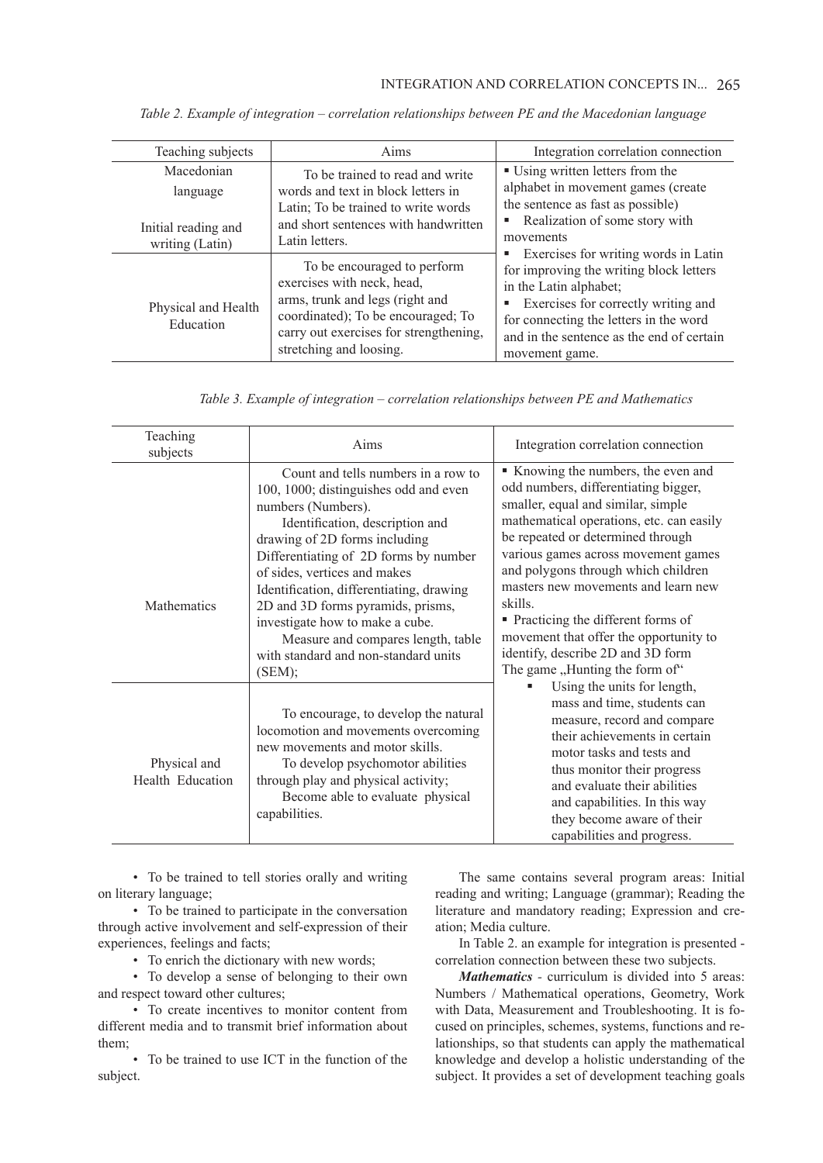| Teaching subjects                      | Aims                                                                                                                                                                                                    | Integration correlation connection                                                                                                                                                                                     |
|----------------------------------------|---------------------------------------------------------------------------------------------------------------------------------------------------------------------------------------------------------|------------------------------------------------------------------------------------------------------------------------------------------------------------------------------------------------------------------------|
| Macedonian<br>language                 | To be trained to read and write<br>words and text in block letters in<br>Latin; To be trained to write words                                                                                            | ■ Using written letters from the<br>alphabet in movement games (create<br>the sentence as fast as possible)                                                                                                            |
| Initial reading and<br>writing (Latin) | and short sentences with handwritten<br>Latin letters.                                                                                                                                                  | Realization of some story with<br>ш<br>movements<br>Exercises for writing words in Latin<br>ш                                                                                                                          |
| Physical and Health<br>Education       | To be encouraged to perform<br>exercises with neck, head,<br>arms, trunk and legs (right and<br>coordinated); To be encouraged; To<br>carry out exercises for strengthening,<br>stretching and loosing. | for improving the writing block letters<br>in the Latin alphabet;<br>Exercises for correctly writing and<br>Е<br>for connecting the letters in the word<br>and in the sentence as the end of certain<br>movement game. |

*Table 2. Example of integration – correlation relationships between PE and the Macedonian language*

|  |  | Table 3. Example of integration - correlation relationships between PE and Mathematics |  |  |  |  |  |
|--|--|----------------------------------------------------------------------------------------|--|--|--|--|--|
|  |  |                                                                                        |  |  |  |  |  |
|  |  |                                                                                        |  |  |  |  |  |

| Teaching<br>subjects             | Aims                                                                                                                                                                                                                                                                                                                                                                                                                                                        | Integration correlation connection                                                                                                                                                                                                                                                                                                                                                                                                                                                       |
|----------------------------------|-------------------------------------------------------------------------------------------------------------------------------------------------------------------------------------------------------------------------------------------------------------------------------------------------------------------------------------------------------------------------------------------------------------------------------------------------------------|------------------------------------------------------------------------------------------------------------------------------------------------------------------------------------------------------------------------------------------------------------------------------------------------------------------------------------------------------------------------------------------------------------------------------------------------------------------------------------------|
| <b>Mathematics</b>               | Count and tells numbers in a row to<br>100, 1000; distinguishes odd and even<br>numbers (Numbers).<br>Identification, description and<br>drawing of 2D forms including<br>Differentiating of 2D forms by number<br>of sides, vertices and makes<br>Identification, differentiating, drawing<br>2D and 3D forms pyramids, prisms,<br>investigate how to make a cube.<br>Measure and compares length, table<br>with standard and non-standard units<br>(SEM); | Knowing the numbers, the even and<br>odd numbers, differentiating bigger,<br>smaller, equal and similar, simple<br>mathematical operations, etc. can easily<br>be repeated or determined through<br>various games across movement games<br>and polygons through which children<br>masters new movements and learn new<br>skills.<br>• Practicing the different forms of<br>movement that offer the opportunity to<br>identify, describe 2D and 3D form<br>The game "Hunting the form of" |
| Physical and<br>Health Education | To encourage, to develop the natural<br>locomotion and movements overcoming<br>new movements and motor skills.<br>To develop psychomotor abilities<br>through play and physical activity;<br>Become able to evaluate physical<br>capabilities.                                                                                                                                                                                                              | Using the units for length,<br>mass and time, students can<br>measure, record and compare<br>their achievements in certain<br>motor tasks and tests and<br>thus monitor their progress<br>and evaluate their abilities<br>and capabilities. In this way<br>they become aware of their<br>capabilities and progress.                                                                                                                                                                      |

• To be trained to tell stories orally and writing on literary language;

• To be trained to participate in the conversation through active involvement and self-expression of their experiences, feelings and facts;

• To enrich the dictionary with new words;

• To develop a sense of belonging to their own and respect toward other cultures;

• To create incentives to monitor content from different media and to transmit brief information about them;

• To be trained to use ICT in the function of the subject.

The same contains several program areas: Initial reading and writing; Language (grammar); Reading the literature and mandatory reading; Expression and creation; Media culture.

In Table 2. an example for integration is presented correlation connection between these two subjects.

*Mathematics -* curriculum is divided into 5 areas: Numbers / Mathematical operations, Geometry, Work with Data, Measurement and Troubleshooting. It is focused on principles, schemes, systems, functions and relationships, so that students can apply the mathematical knowledge and develop a holistic understanding of the subject. It provides a set of development teaching goals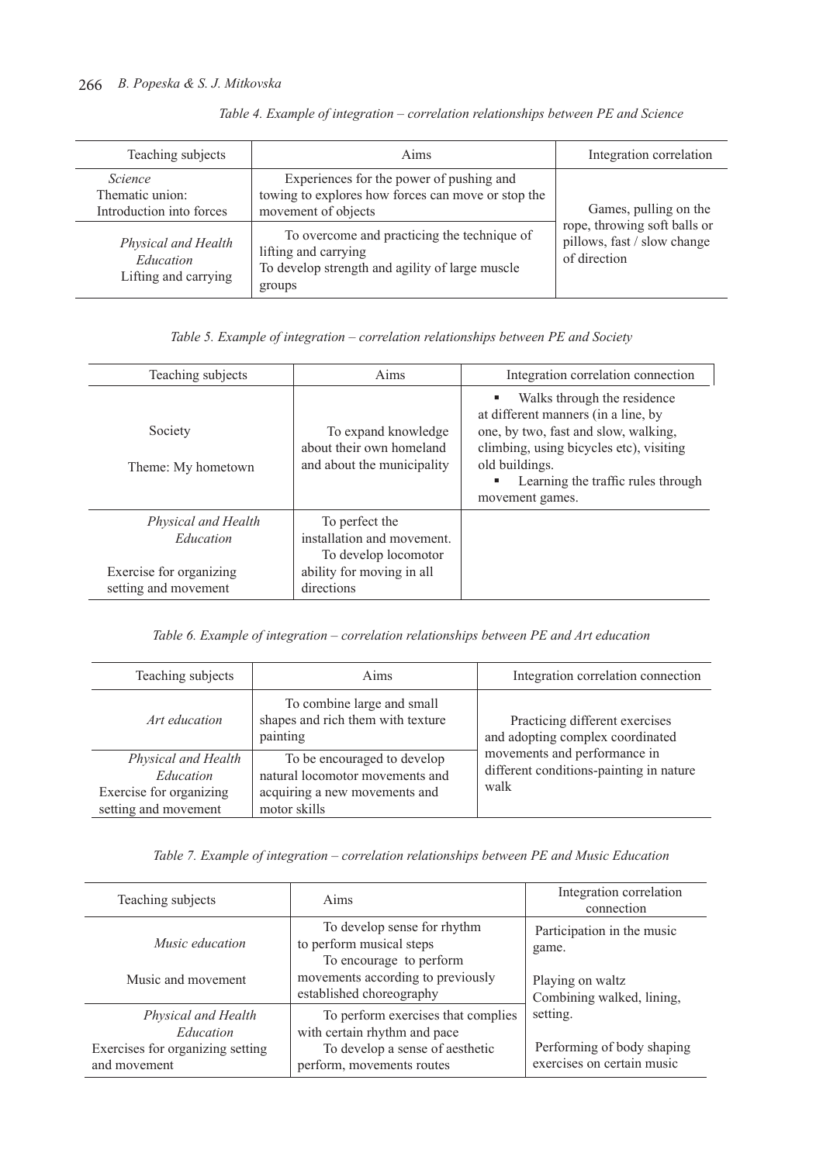| Teaching subjects<br>Aims                                     |                                                                                                                                  | Integration correlation                                                     |
|---------------------------------------------------------------|----------------------------------------------------------------------------------------------------------------------------------|-----------------------------------------------------------------------------|
| <i>Science</i><br>Thematic union:<br>Introduction into forces | Experiences for the power of pushing and<br>towing to explores how forces can move or stop the<br>movement of objects            | Games, pulling on the                                                       |
| Physical and Health<br>Education<br>Lifting and carrying      | To overcome and practicing the technique of<br>lifting and carrying<br>To develop strength and agility of large muscle<br>groups | rope, throwing soft balls or<br>pillows, fast / slow change<br>of direction |

|  |  | Table 4. Example of integration - correlation relationships between PE and Science |  |  |
|--|--|------------------------------------------------------------------------------------|--|--|
|  |  |                                                                                    |  |  |
|  |  |                                                                                    |  |  |
|  |  |                                                                                    |  |  |

*Table 5. Example of integration – correlation relationships between PE and Society*

| Teaching subjects                                                                   | Aims                                                                                                            | Integration correlation connection                                                                                                                                                                                               |
|-------------------------------------------------------------------------------------|-----------------------------------------------------------------------------------------------------------------|----------------------------------------------------------------------------------------------------------------------------------------------------------------------------------------------------------------------------------|
| Society<br>Theme: My hometown                                                       | To expand knowledge<br>about their own homeland<br>and about the municipality                                   | Walks through the residence<br>at different manners (in a line, by<br>one, by two, fast and slow, walking,<br>climbing, using bicycles etc), visiting<br>old buildings.<br>Learning the traffic rules through<br>movement games. |
| Physical and Health<br>Education<br>Exercise for organizing<br>setting and movement | To perfect the<br>installation and movement.<br>To develop locomotor<br>ability for moving in all<br>directions |                                                                                                                                                                                                                                  |

*Table 6. Example of integration – correlation relationships between PE and Art education*

| Teaching subjects                                                                   | Aims                                                                                                            | Integration correlation connection                                              |
|-------------------------------------------------------------------------------------|-----------------------------------------------------------------------------------------------------------------|---------------------------------------------------------------------------------|
| Art education                                                                       | To combine large and small<br>shapes and rich them with texture<br>painting                                     | Practicing different exercises<br>and adopting complex coordinated              |
| Physical and Health<br>Education<br>Exercise for organizing<br>setting and movement | To be encouraged to develop<br>natural locomotor movements and<br>acquiring a new movements and<br>motor skills | movements and performance in<br>different conditions-painting in nature<br>walk |

*Table 7. Example of integration – correlation relationships between PE and Music Education*

| Teaching subjects                                | Aims                                                                               | Integration correlation<br>connection                    |
|--------------------------------------------------|------------------------------------------------------------------------------------|----------------------------------------------------------|
| Music education                                  | To develop sense for rhythm<br>to perform musical steps<br>To encourage to perform | Participation in the music<br>game.                      |
| Music and movement                               | movements according to previously<br>established choreography                      | Playing on waltz<br>Combining walked, lining,            |
| Physical and Health<br>Education                 | To perform exercises that complies<br>with certain rhythm and pace                 | setting.                                                 |
| Exercises for organizing setting<br>and movement | To develop a sense of aesthetic<br>perform, movements routes                       | Performing of body shaping<br>exercises on certain music |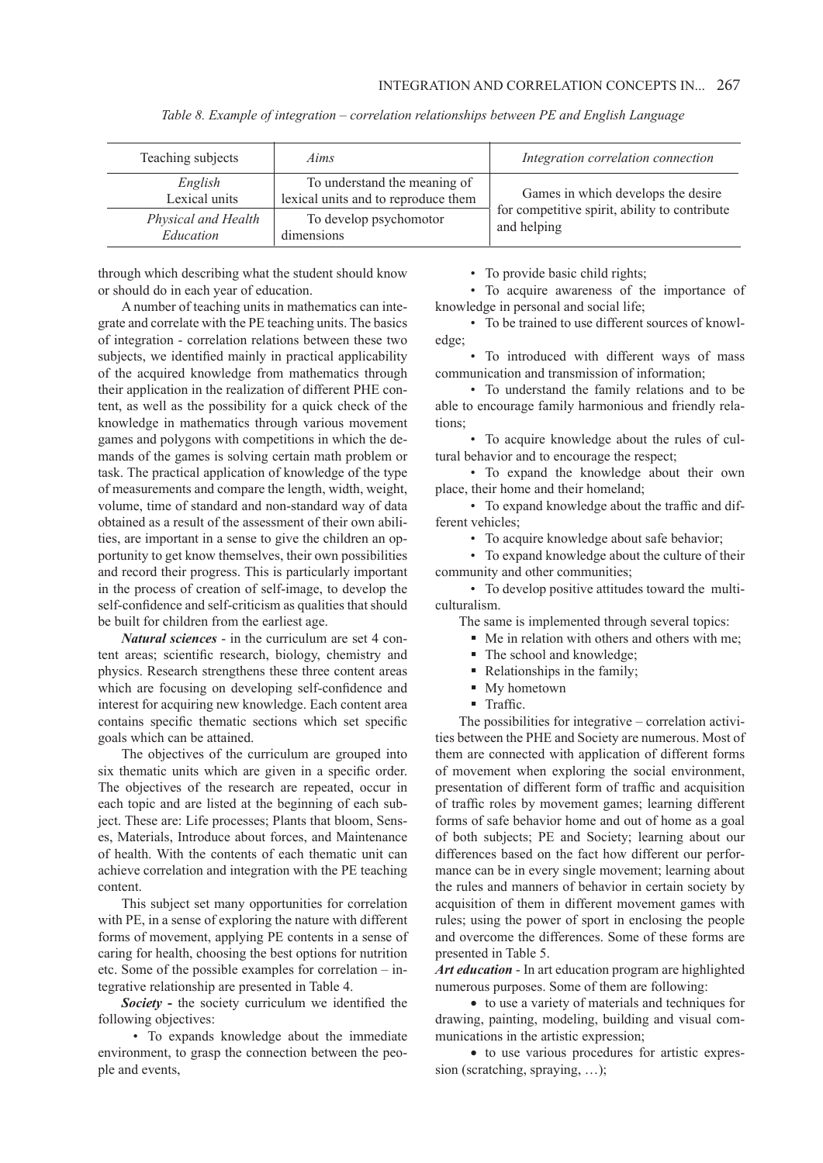| Teaching subjects                | Aims                                                                | Integration correlation connection                           |
|----------------------------------|---------------------------------------------------------------------|--------------------------------------------------------------|
| English<br>Lexical units         | To understand the meaning of<br>lexical units and to reproduce them | Games in which develops the desire                           |
| Physical and Health<br>Education | To develop psychomotor<br>dimensions                                | for competitive spirit, ability to contribute<br>and helping |

*Table 8. Example of integration – correlation relationships between PE and English Language*

through which describing what the student should know or should do in each year of education.

A number of teaching units in mathematics can integrate and correlate with the PE teaching units. The basics of integration - correlation relations between these two subjects, we identified mainly in practical applicability of the acquired knowledge from mathematics through their application in the realization of different PHE content, as well as the possibility for a quick check of the knowledge in mathematics through various movement games and polygons with competitions in which the demands of the games is solving certain math problem or task. The practical application of knowledge of the type of measurements and compare the length, width, weight, volume, time of standard and non-standard way of data obtained as a result of the assessment of their own abilities, are important in a sense to give the children an opportunity to get know themselves, their own possibilities and record their progress. This is particularly important in the process of creation of self-image, to develop the self-confidence and self-criticism as qualities that should be built for children from the earliest age.

*Natural sciences* - in the curriculum are set 4 content areas; scientific research, biology, chemistry and physics. Research strengthens these three content areas which are focusing on developing self-confidence and interest for acquiring new knowledge. Each content area contains specific thematic sections which set specific goals which can be attained.

The objectives of the curriculum are grouped into six thematic units which are given in a specific order. The objectives of the research are repeated, occur in each topic and are listed at the beginning of each subject. These are: Life processes; Plants that bloom, Senses, Materials, Introduce about forces, and Maintenance of health. With the contents of each thematic unit can achieve correlation and integration with the PE teaching content.

This subject set many opportunities for correlation with PE, in a sense of exploring the nature with different forms of movement, applying PE contents in a sense of caring for health, choosing the best options for nutrition etc. Some of the possible examples for correlation – integrative relationship are presented in Table 4.

*Society* **-** the society curriculum we identified the following objectives:

• To expands knowledge about the immediate environment, to grasp the connection between the people and events,

• To provide basic child rights;

• To acquire awareness of the importance of knowledge in personal and social life;

• To be trained to use different sources of knowledge;

• To introduced with different ways of mass communication and transmission of information;

• To understand the family relations and to be able to encourage family harmonious and friendly relations;

• To acquire knowledge about the rules of cultural behavior and to encourage the respect;

• To expand the knowledge about their own place, their home and their homeland;

• To expand knowledge about the traffic and different vehicles;

• To acquire knowledge about safe behavior;

• To expand knowledge about the culture of their community and other communities;

• To develop positive attitudes toward the multiculturalism.

The same is implemented through several topics:

 Me in relation with others and others with me;

- The school and knowledge;
- Relationships in the family;
- My hometown
- **Traffic.**

The possibilities for integrative – correlation activities between the PHE and Society are numerous. Most of them are connected with application of different forms of movement when exploring the social environment, presentation of different form of traffic and acquisition of traffic roles by movement games; learning different forms of safe behavior home and out of home as a goal of both subjects; PE and Society; learning about our differences based on the fact how different our performance can be in every single movement; learning about the rules and manners of behavior in certain society by acquisition of them in different movement games with rules; using the power of sport in enclosing the people and overcome the differences. Some of these forms are presented in Table 5.

*Art education* - In art education program are highlighted numerous purposes. Some of them are following:

• to use a variety of materials and techniques for drawing, painting, modeling, building and visual communications in the artistic expression;

• to use various procedures for artistic expression (scratching, spraying, ...);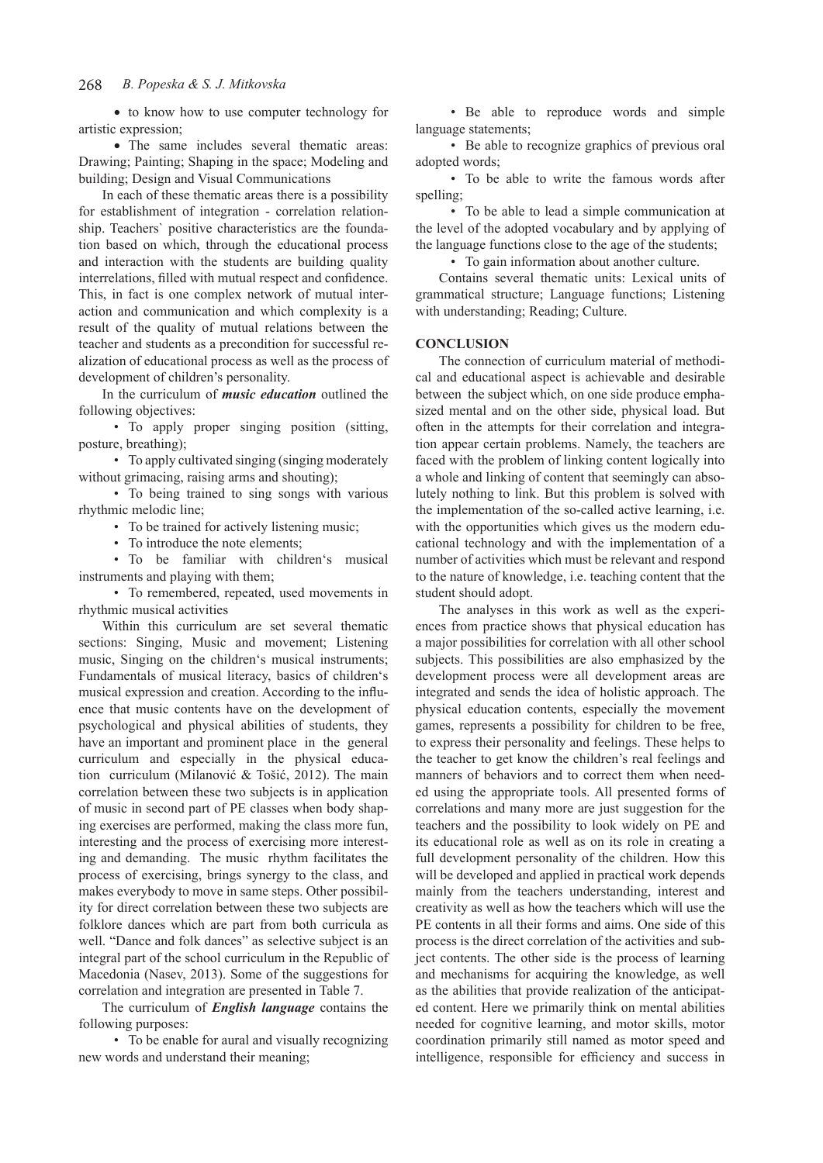#### 268  *B. Popeska & S. J. Mitkovska*

• to know how to use computer technology for artistic expression;

• The same includes several thematic areas: Drawing; Painting; Shaping in the space; Modeling and building; Design and Visual Communications

In each of these thematic areas there is a possibility for establishment of integration - correlation relationship. Teachers` positive characteristics are the foundation based on which, through the educational process and interaction with the students are building quality interrelations, filled with mutual respect and confidence. This, in fact is one complex network of mutual interaction and communication and which complexity is a result of the quality of mutual relations between the teacher and students as a precondition for successful realization of educational process as well as the process of development of children's personality.

In the curriculum of *music education* outlined the following objectives:

• To apply proper singing position (sitting, posture, breathing);

• To apply cultivated singing (singing moderately without grimacing, raising arms and shouting);

• To being trained to sing songs with various rhythmic melodic line;

• To be trained for actively listening music;

• To introduce the note elements:

• To be familiar with children's musical instruments and playing with them;

• To remembered, repeated, used movements in rhythmic musical activities

Within this curriculum are set several thematic sections: Singing, Music and movement; Listening music, Singing on the children's musical instruments; Fundamentals of musical literacy, basics of children's musical expression and creation. According to the influence that music contents have on the development of psychological and physical abilities of students, they have an important and prominent place in the general curriculum and especially in the physical education curriculum (Milanović & Tošić, 2012). The main correlation between these two subjects is in application of music in second part of PE classes when body shaping exercises are performed, making the class more fun, interesting and the process of exercising more interesting and demanding. The music rhythm facilitates the process of exercising, brings synergy to the class, and makes everybody to move in same steps. Other possibility for direct correlation between these two subjects are folklore dances which are part from both curricula as well. "Dance and folk dances" as selective subject is an integral part of the school curriculum in the Republic of Macedonia (Nasev, 2013). Some of the suggestions for correlation and integration are presented in Table 7.

The curriculum of *English language* contains the following purposes:

• To be enable for aural and visually recognizing new words and understand their meaning;

• Be able to reproduce words and simple language statements;

• Be able to recognize graphics of previous oral adopted words;

• To be able to write the famous words after spelling;

• To be able to lead a simple communication at the level of the adopted vocabulary and by applying of the language functions close to the age of the students;

• To gain information about another culture.

Contains several thematic units: Lexical units of grammatical structure; Language functions; Listening with understanding; Reading; Culture.

#### **CONCLUSION**

The connection of curriculum material of methodical and educational aspect is achievable and desirable between the subject which, on one side produce emphasized mental and on the other side, physical load. But often in the attempts for their correlation and integration appear certain problems. Namely, the teachers are faced with the problem of linking content logically into a whole and linking of content that seemingly can absolutely nothing to link. But this problem is solved with the implementation of the so-called active learning, i.e. with the opportunities which gives us the modern educational technology and with the implementation of a number of activities which must be relevant and respond to the nature of knowledge, i.e. teaching content that the student should adopt.

The analyses in this work as well as the experiences from practice shows that physical education has a major possibilities for correlation with all other school subjects. This possibilities are also emphasized by the development process were all development areas are integrated and sends the idea of holistic approach. The physical education contents, especially the movement games, represents a possibility for children to be free, to express their personality and feelings. These helps to the teacher to get know the children's real feelings and manners of behaviors and to correct them when needed using the appropriate tools. All presented forms of correlations and many more are just suggestion for the teachers and the possibility to look widely on PE and its educational role as well as on its role in creating a full development personality of the children. How this will be developed and applied in practical work depends mainly from the teachers understanding, interest and creativity as well as how the teachers which will use the PE contents in all their forms and aims. One side of this process is the direct correlation of the activities and subject contents. The other side is the process of learning and mechanisms for acquiring the knowledge, as well as the abilities that provide realization of the anticipated content. Here we primarily think on mental abilities needed for cognitive learning, and motor skills, motor coordination primarily still named as motor speed and intelligence, responsible for efficiency and success in